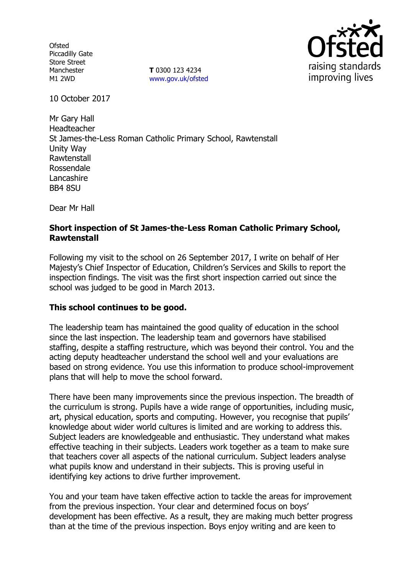**Ofsted** Piccadilly Gate Store Street Manchester M1 2WD

**T** 0300 123 4234 www.gov.uk/ofsted



10 October 2017

Mr Gary Hall Headteacher St James-the-Less Roman Catholic Primary School, Rawtenstall Unity Way Rawtenstall Rossendale Lancashire BB4 8SU

Dear Mr Hall

## **Short inspection of St James-the-Less Roman Catholic Primary School, Rawtenstall**

Following my visit to the school on 26 September 2017, I write on behalf of Her Majesty's Chief Inspector of Education, Children's Services and Skills to report the inspection findings. The visit was the first short inspection carried out since the school was judged to be good in March 2013.

### **This school continues to be good.**

The leadership team has maintained the good quality of education in the school since the last inspection. The leadership team and governors have stabilised staffing, despite a staffing restructure, which was beyond their control. You and the acting deputy headteacher understand the school well and your evaluations are based on strong evidence. You use this information to produce school-improvement plans that will help to move the school forward.

There have been many improvements since the previous inspection. The breadth of the curriculum is strong. Pupils have a wide range of opportunities, including music, art, physical education, sports and computing. However, you recognise that pupils' knowledge about wider world cultures is limited and are working to address this. Subject leaders are knowledgeable and enthusiastic. They understand what makes effective teaching in their subjects. Leaders work together as a team to make sure that teachers cover all aspects of the national curriculum. Subject leaders analyse what pupils know and understand in their subjects. This is proving useful in identifying key actions to drive further improvement.

You and your team have taken effective action to tackle the areas for improvement from the previous inspection. Your clear and determined focus on boys' development has been effective. As a result, they are making much better progress than at the time of the previous inspection. Boys enjoy writing and are keen to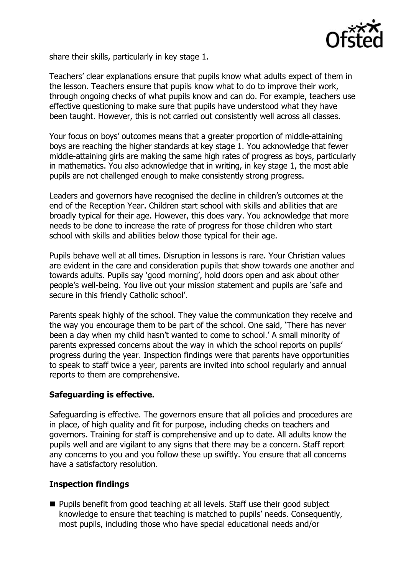

share their skills, particularly in key stage 1.

Teachers' clear explanations ensure that pupils know what adults expect of them in the lesson. Teachers ensure that pupils know what to do to improve their work, through ongoing checks of what pupils know and can do. For example, teachers use effective questioning to make sure that pupils have understood what they have been taught. However, this is not carried out consistently well across all classes.

Your focus on boys' outcomes means that a greater proportion of middle-attaining boys are reaching the higher standards at key stage 1. You acknowledge that fewer middle-attaining girls are making the same high rates of progress as boys, particularly in mathematics. You also acknowledge that in writing, in key stage 1, the most able pupils are not challenged enough to make consistently strong progress.

Leaders and governors have recognised the decline in children's outcomes at the end of the Reception Year. Children start school with skills and abilities that are broadly typical for their age. However, this does vary. You acknowledge that more needs to be done to increase the rate of progress for those children who start school with skills and abilities below those typical for their age.

Pupils behave well at all times. Disruption in lessons is rare. Your Christian values are evident in the care and consideration pupils that show towards one another and towards adults. Pupils say 'good morning', hold doors open and ask about other people's well-being. You live out your mission statement and pupils are 'safe and secure in this friendly Catholic school'.

Parents speak highly of the school. They value the communication they receive and the way you encourage them to be part of the school. One said, 'There has never been a day when my child hasn't wanted to come to school.' A small minority of parents expressed concerns about the way in which the school reports on pupils' progress during the year. Inspection findings were that parents have opportunities to speak to staff twice a year, parents are invited into school regularly and annual reports to them are comprehensive.

# **Safeguarding is effective.**

Safeguarding is effective. The governors ensure that all policies and procedures are in place, of high quality and fit for purpose, including checks on teachers and governors. Training for staff is comprehensive and up to date. All adults know the pupils well and are vigilant to any signs that there may be a concern. Staff report any concerns to you and you follow these up swiftly. You ensure that all concerns have a satisfactory resolution.

### **Inspection findings**

**Pupils benefit from good teaching at all levels. Staff use their good subject Pupils** knowledge to ensure that teaching is matched to pupils' needs. Consequently, most pupils, including those who have special educational needs and/or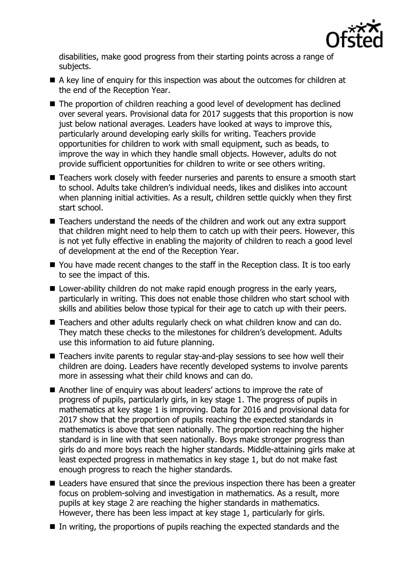

disabilities, make good progress from their starting points across a range of subjects.

- A key line of enguiry for this inspection was about the outcomes for children at the end of the Reception Year.
- The proportion of children reaching a good level of development has declined over several years. Provisional data for 2017 suggests that this proportion is now just below national averages. Leaders have looked at ways to improve this, particularly around developing early skills for writing. Teachers provide opportunities for children to work with small equipment, such as beads, to improve the way in which they handle small objects. However, adults do not provide sufficient opportunities for children to write or see others writing.
- Teachers work closely with feeder nurseries and parents to ensure a smooth start to school. Adults take children's individual needs, likes and dislikes into account when planning initial activities. As a result, children settle quickly when they first start school.
- Teachers understand the needs of the children and work out any extra support that children might need to help them to catch up with their peers. However, this is not yet fully effective in enabling the majority of children to reach a good level of development at the end of the Reception Year.
- You have made recent changes to the staff in the Reception class. It is too early to see the impact of this.
- Lower-ability children do not make rapid enough progress in the early years, particularly in writing. This does not enable those children who start school with skills and abilities below those typical for their age to catch up with their peers.
- Teachers and other adults regularly check on what children know and can do. They match these checks to the milestones for children's development. Adults use this information to aid future planning.
- Teachers invite parents to regular stay-and-play sessions to see how well their children are doing. Leaders have recently developed systems to involve parents more in assessing what their child knows and can do.
- Another line of enquiry was about leaders' actions to improve the rate of progress of pupils, particularly girls, in key stage 1. The progress of pupils in mathematics at key stage 1 is improving. Data for 2016 and provisional data for 2017 show that the proportion of pupils reaching the expected standards in mathematics is above that seen nationally. The proportion reaching the higher standard is in line with that seen nationally. Boys make stronger progress than girls do and more boys reach the higher standards. Middle-attaining girls make at least expected progress in mathematics in key stage 1, but do not make fast enough progress to reach the higher standards.
- Leaders have ensured that since the previous inspection there has been a greater focus on problem-solving and investigation in mathematics. As a result, more pupils at key stage 2 are reaching the higher standards in mathematics. However, there has been less impact at key stage 1, particularly for girls.
- $\blacksquare$  In writing, the proportions of pupils reaching the expected standards and the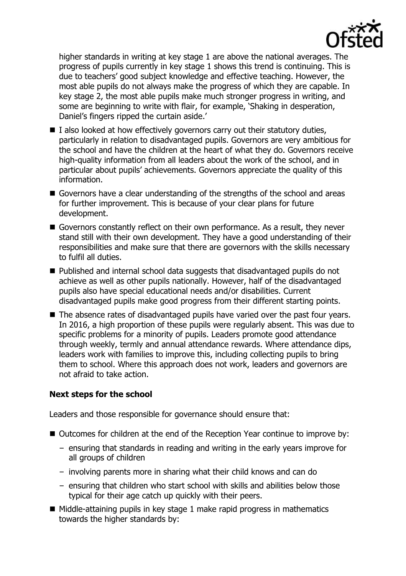

higher standards in writing at key stage 1 are above the national averages. The progress of pupils currently in key stage 1 shows this trend is continuing. This is due to teachers' good subject knowledge and effective teaching. However, the most able pupils do not always make the progress of which they are capable. In key stage 2, the most able pupils make much stronger progress in writing, and some are beginning to write with flair, for example, 'Shaking in desperation, Daniel's fingers ripped the curtain aside.'

- $\blacksquare$  I also looked at how effectively governors carry out their statutory duties, particularly in relation to disadvantaged pupils. Governors are very ambitious for the school and have the children at the heart of what they do. Governors receive high-quality information from all leaders about the work of the school, and in particular about pupils' achievements. Governors appreciate the quality of this information.
- Governors have a clear understanding of the strengths of the school and areas for further improvement. This is because of your clear plans for future development.
- Governors constantly reflect on their own performance. As a result, they never stand still with their own development. They have a good understanding of their responsibilities and make sure that there are governors with the skills necessary to fulfil all duties.
- Published and internal school data suggests that disadvantaged pupils do not achieve as well as other pupils nationally. However, half of the disadvantaged pupils also have special educational needs and/or disabilities. Current disadvantaged pupils make good progress from their different starting points.
- The absence rates of disadvantaged pupils have varied over the past four years. In 2016, a high proportion of these pupils were regularly absent. This was due to specific problems for a minority of pupils. Leaders promote good attendance through weekly, termly and annual attendance rewards. Where attendance dips, leaders work with families to improve this, including collecting pupils to bring them to school. Where this approach does not work, leaders and governors are not afraid to take action.

### **Next steps for the school**

Leaders and those responsible for governance should ensure that:

- Outcomes for children at the end of the Reception Year continue to improve by:
	- ensuring that standards in reading and writing in the early years improve for all groups of children
	- involving parents more in sharing what their child knows and can do
	- ensuring that children who start school with skills and abilities below those typical for their age catch up quickly with their peers.
- $\blacksquare$  Middle-attaining pupils in key stage 1 make rapid progress in mathematics towards the higher standards by: